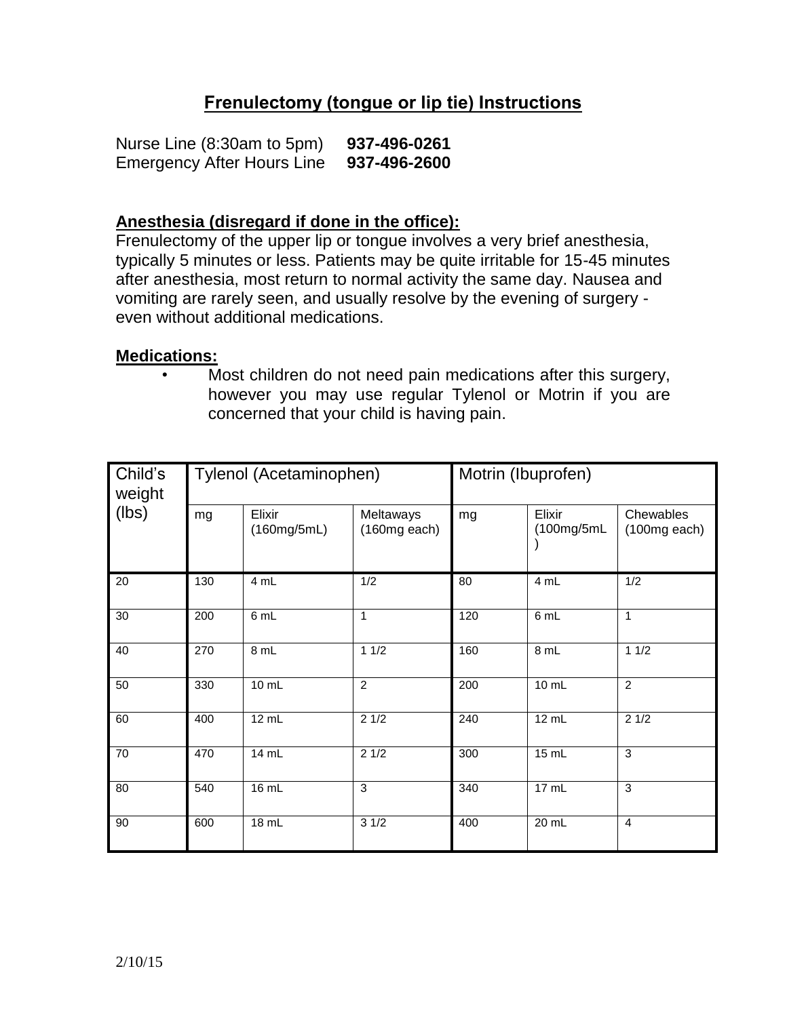## **Frenulectomy (tongue or lip tie) Instructions**

Nurse Line (8:30am to 5pm) **937-496-0261** Emergency After Hours Line **937-496-2600**

## **Anesthesia (disregard if done in the office):**

Frenulectomy of the upper lip or tongue involves a very brief anesthesia, typically 5 minutes or less. Patients may be quite irritable for 15-45 minutes after anesthesia, most return to normal activity the same day. Nausea and vomiting are rarely seen, and usually resolve by the evening of surgery even without additional medications.

## **Medications:**

• Most children do not need pain medications after this surgery, however you may use regular Tylenol or Motrin if you are concerned that your child is having pain.

| Child's<br>weight<br>(lbs) | Tylenol (Acetaminophen) |                       |                             | Motrin (Ibuprofen) |                      |                             |
|----------------------------|-------------------------|-----------------------|-----------------------------|--------------------|----------------------|-----------------------------|
|                            | mg                      | Elixir<br>(160mg/5mL) | Meltaways<br>$(160mg$ each) | mg                 | Elixir<br>(100mg/5mL | Chewables<br>$(100mg$ each) |
| 20                         | 130                     | 4 mL                  | 1/2                         | 80                 | 4 mL                 | 1/2                         |
| 30                         | 200                     | 6 mL                  | $\mathbf{1}$                | 120                | 6 mL                 | $\mathbf{1}$                |
| 40                         | 270                     | 8 mL                  | 11/2                        | 160                | 8 mL                 | 11/2                        |
| 50                         | 330                     | 10 mL                 | 2                           | 200                | 10 mL                | $\overline{2}$              |
| 60                         | 400                     | 12 mL                 | 21/2                        | 240                | 12 mL                | 21/2                        |
| 70                         | 470                     | 14 mL                 | 21/2                        | 300                | 15 mL                | 3                           |
| 80                         | 540                     | 16 mL                 | $\overline{3}$              | 340                | 17 mL                | $\overline{3}$              |
| 90                         | 600                     | 18 mL                 | 31/2                        | 400                | $20$ mL              | $\overline{4}$              |